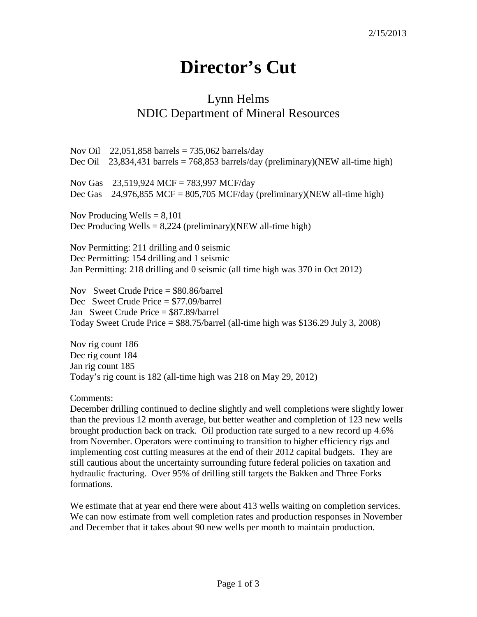## **Director's Cut**

## Lynn Helms NDIC Department of Mineral Resources

Nov Oil  $22,051,858$  barrels = 735,062 barrels/day Dec Oil 23,834,431 barrels = 768,853 barrels/day (preliminary)(NEW all-time high) Nov Gas 23,519,924 MCF = 783,997 MCF/day Dec Gas  $24.976,855$  MCF =  $805,705$  MCF/day (preliminary)(NEW all-time high) Nov Producing Wells  $= 8,101$ Dec Producing Wells =  $8,224$  (preliminary)(NEW all-time high) Nov Permitting: 211 drilling and 0 seismic Dec Permitting: 154 drilling and 1 seismic Jan Permitting: 218 drilling and 0 seismic (all time high was 370 in Oct 2012) Nov Sweet Crude Price = \$80.86/barrel Dec Sweet Crude Price = \$77.09/barrel Jan Sweet Crude Price = \$87.89/barrel Today Sweet Crude Price  $=$  \$88.75/barrel (all-time high was \$136.29 July 3, 2008) Nov rig count 186 Dec rig count 184

Jan rig count 185

Today's rig count is 182 (all-time high was 218 on May 29, 2012)

Comments:

December drilling continued to decline slightly and well completions were slightly lower than the previous 12 month average, but better weather and completion of 123 new wells brought production back on track. Oil production rate surged to a new record up 4.6% from November. Operators were continuing to transition to higher efficiency rigs and implementing cost cutting measures at the end of their 2012 capital budgets. They are still cautious about the uncertainty surrounding future federal policies on taxation and hydraulic fracturing. Over 95% of drilling still targets the Bakken and Three Forks formations.

We estimate that at year end there were about 413 wells waiting on completion services. We can now estimate from well completion rates and production responses in November and December that it takes about 90 new wells per month to maintain production.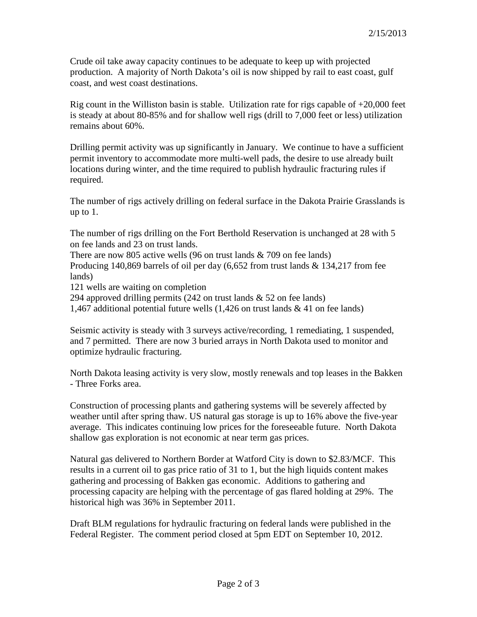Crude oil take away capacity continues to be adequate to keep up with projected production. A majority of North Dakota's oil is now shipped by rail to east coast, gulf coast, and west coast destinations.

Rig count in the Williston basin is stable. Utilization rate for rigs capable of  $+20,000$  feet is steady at about 80-85% and for shallow well rigs (drill to 7,000 feet or less) utilization remains about 60%.

Drilling permit activity was up significantly in January. We continue to have a sufficient permit inventory to accommodate more multi-well pads, the desire to use already built locations during winter, and the time required to publish hydraulic fracturing rules if required.

The number of rigs actively drilling on federal surface in the Dakota Prairie Grasslands is up to 1.

The number of rigs drilling on the Fort Berthold Reservation is unchanged at 28 with 5 on fee lands and 23 on trust lands.

There are now 805 active wells (96 on trust lands & 709 on fee lands) Producing 140,869 barrels of oil per day (6,652 from trust lands & 134,217 from fee lands)

121 wells are waiting on completion

294 approved drilling permits (242 on trust lands  $\&$  52 on fee lands)

1,467 additional potential future wells (1,426 on trust lands & 41 on fee lands)

Seismic activity is steady with 3 surveys active/recording, 1 remediating, 1 suspended, and 7 permitted. There are now 3 buried arrays in North Dakota used to monitor and optimize hydraulic fracturing.

North Dakota leasing activity is very slow, mostly renewals and top leases in the Bakken - Three Forks area.

Construction of processing plants and gathering systems will be severely affected by weather until after spring thaw. US natural gas storage is up to 16% above the five-year average. This indicates continuing low prices for the foreseeable future. North Dakota shallow gas exploration is not economic at near term gas prices.

Natural gas delivered to Northern Border at Watford City is down to \$2.83/MCF. This results in a current oil to gas price ratio of 31 to 1, but the high liquids content makes gathering and processing of Bakken gas economic. Additions to gathering and processing capacity are helping with the percentage of gas flared holding at 29%. The historical high was 36% in September 2011.

Draft BLM regulations for hydraulic fracturing on federal lands were published in the Federal Register. The comment period closed at 5pm EDT on September 10, 2012.